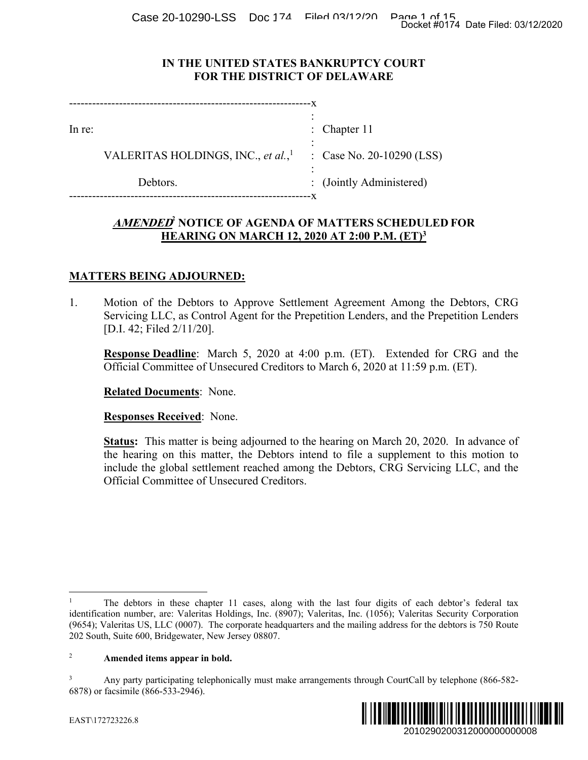Case 20-10290-LSS Doc 174 Filed 03/12/2020 Page 1 of 15<br>Docket #0174 Date Filed: 03/12/2020

### **IN THE UNITED STATES BANKRUPTCY COURT FOR THE DISTRICT OF DELAWARE**

| In re:                                         | : Chapter $11$            |
|------------------------------------------------|---------------------------|
| VALERITAS HOLDINGS, INC., et al., <sup>1</sup> | : Case No. 20-10290 (LSS) |
| Debtors.                                       | : (Jointly Administered)  |

# **AMENDED<sup>2</sup> NOTICE OF AGENDA OF MATTERS SCHEDULED FOR HEARING ON MARCH 12, 2020 AT 2:00 P.M. (ET)3**

## **MATTERS BEING ADJOURNED:**

1. Motion of the Debtors to Approve Settlement Agreement Among the Debtors, CRG Servicing LLC, as Control Agent for the Prepetition Lenders, and the Prepetition Lenders [D.I. 42; Filed 2/11/20].

**Response Deadline**: March 5, 2020 at 4:00 p.m. (ET). Extended for CRG and the Official Committee of Unsecured Creditors to March 6, 2020 at 11:59 p.m. (ET).

**Related Documents**: None.

**Responses Received**: None.

**Status:** This matter is being adjourned to the hearing on March 20, 2020. In advance of the hearing on this matter, the Debtors intend to file a supplement to this motion to include the global settlement reached among the Debtors, CRG Servicing LLC, and the Official Committee of Unsecured Creditors. Docket #0174 Date Filed: 03/12/2020<br>
2010 (LSS)<br>
2010 (LSS)<br>
2010 (LSS)<br>
2010 (LSS)<br>
2010 Por ECD<sup>3</sup><br>
2010 Por Proper Proper Consumers<br>
2010 Por Proper Consumer Consumers<br>
2011 Por Proper Consumers<br>
2011 Por Proper Consum

<sup>3</sup> Any party participating telephonically must make arrangements through CourtCall by telephone (866-582- 6878) or facsimile (866-533-2946).



 $\overline{a}$ 

<sup>1</sup> The debtors in these chapter 11 cases, along with the last four digits of each debtor's federal tax identification number, are: Valeritas Holdings, Inc. (8907); Valeritas, Inc. (1056); Valeritas Security Corporation (9654); Valeritas US, LLC (0007). The corporate headquarters and the mailing address for the debtors is 750 Route 202 South, Suite 600, Bridgewater, New Jersey 08807.

<sup>2</sup> **Amended items appear in bold.**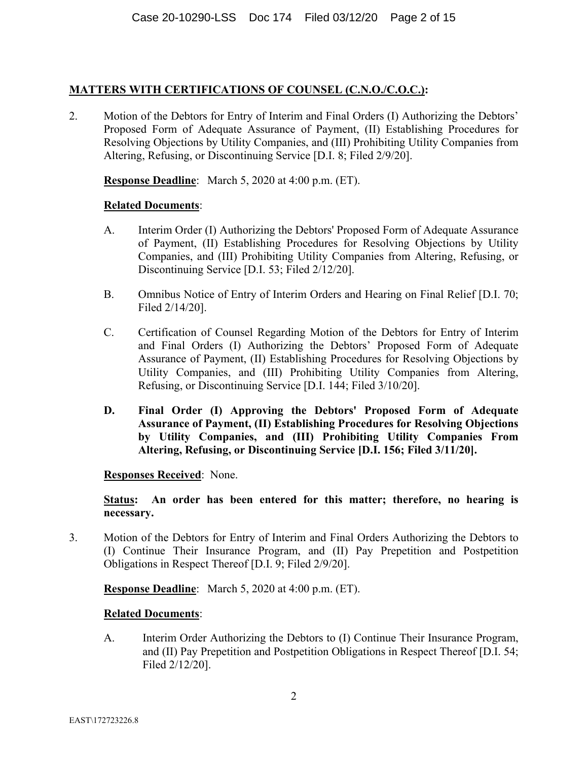## **MATTERS WITH CERTIFICATIONS OF COUNSEL (C.N.O./C.O.C.):**

2. Motion of the Debtors for Entry of Interim and Final Orders (I) Authorizing the Debtors' Proposed Form of Adequate Assurance of Payment, (II) Establishing Procedures for Resolving Objections by Utility Companies, and (III) Prohibiting Utility Companies from Altering, Refusing, or Discontinuing Service [D.I. 8; Filed 2/9/20].

**Response Deadline**: March 5, 2020 at 4:00 p.m. (ET).

### **Related Documents**:

- A. Interim Order (I) Authorizing the Debtors' Proposed Form of Adequate Assurance of Payment, (II) Establishing Procedures for Resolving Objections by Utility Companies, and (III) Prohibiting Utility Companies from Altering, Refusing, or Discontinuing Service [D.I. 53; Filed 2/12/20].
- B. Omnibus Notice of Entry of Interim Orders and Hearing on Final Relief [D.I. 70; Filed 2/14/20].
- C. Certification of Counsel Regarding Motion of the Debtors for Entry of Interim and Final Orders (I) Authorizing the Debtors' Proposed Form of Adequate Assurance of Payment, (II) Establishing Procedures for Resolving Objections by Utility Companies, and (III) Prohibiting Utility Companies from Altering, Refusing, or Discontinuing Service [D.I. 144; Filed 3/10/20].
- **D. Final Order (I) Approving the Debtors' Proposed Form of Adequate Assurance of Payment, (II) Establishing Procedures for Resolving Objections by Utility Companies, and (III) Prohibiting Utility Companies From Altering, Refusing, or Discontinuing Service [D.I. 156; Filed 3/11/20].**

**Responses Received**: None.

**Status: An order has been entered for this matter; therefore, no hearing is necessary.**

3. Motion of the Debtors for Entry of Interim and Final Orders Authorizing the Debtors to (I) Continue Their Insurance Program, and (II) Pay Prepetition and Postpetition Obligations in Respect Thereof [D.I. 9; Filed 2/9/20].

**Response Deadline**: March 5, 2020 at 4:00 p.m. (ET).

### **Related Documents**:

A. Interim Order Authorizing the Debtors to (I) Continue Their Insurance Program, and (II) Pay Prepetition and Postpetition Obligations in Respect Thereof [D.I. 54; Filed 2/12/20].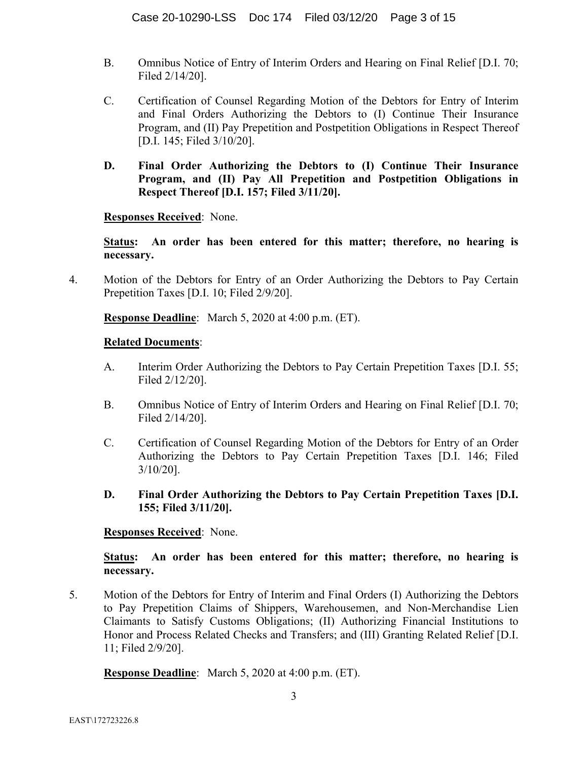- B. Omnibus Notice of Entry of Interim Orders and Hearing on Final Relief [D.I. 70; Filed 2/14/20].
- C. Certification of Counsel Regarding Motion of the Debtors for Entry of Interim and Final Orders Authorizing the Debtors to (I) Continue Their Insurance Program, and (II) Pay Prepetition and Postpetition Obligations in Respect Thereof [D.I. 145; Filed 3/10/20].
- **D. Final Order Authorizing the Debtors to (I) Continue Their Insurance Program, and (II) Pay All Prepetition and Postpetition Obligations in Respect Thereof [D.I. 157; Filed 3/11/20].**

**Responses Received**: None.

**Status: An order has been entered for this matter; therefore, no hearing is necessary.**

4. Motion of the Debtors for Entry of an Order Authorizing the Debtors to Pay Certain Prepetition Taxes [D.I. 10; Filed 2/9/20].

**Response Deadline**: March 5, 2020 at 4:00 p.m. (ET).

### **Related Documents**:

- A. Interim Order Authorizing the Debtors to Pay Certain Prepetition Taxes [D.I. 55; Filed 2/12/20].
- B. Omnibus Notice of Entry of Interim Orders and Hearing on Final Relief [D.I. 70; Filed 2/14/20].
- C. Certification of Counsel Regarding Motion of the Debtors for Entry of an Order Authorizing the Debtors to Pay Certain Prepetition Taxes [D.I. 146; Filed 3/10/20].
- **D. Final Order Authorizing the Debtors to Pay Certain Prepetition Taxes [D.I. 155; Filed 3/11/20].**

### **Responses Received**: None.

**Status: An order has been entered for this matter; therefore, no hearing is necessary.**

5. Motion of the Debtors for Entry of Interim and Final Orders (I) Authorizing the Debtors to Pay Prepetition Claims of Shippers, Warehousemen, and Non-Merchandise Lien Claimants to Satisfy Customs Obligations; (II) Authorizing Financial Institutions to Honor and Process Related Checks and Transfers; and (III) Granting Related Relief [D.I. 11; Filed 2/9/20].

**Response Deadline**: March 5, 2020 at 4:00 p.m. (ET).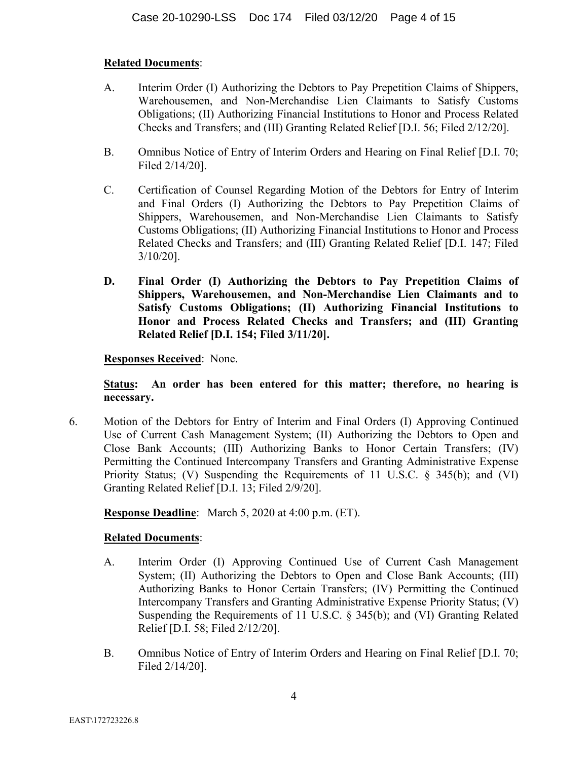## **Related Documents**:

- A. Interim Order (I) Authorizing the Debtors to Pay Prepetition Claims of Shippers, Warehousemen, and Non-Merchandise Lien Claimants to Satisfy Customs Obligations; (II) Authorizing Financial Institutions to Honor and Process Related Checks and Transfers; and (III) Granting Related Relief [D.I. 56; Filed 2/12/20].
- B. Omnibus Notice of Entry of Interim Orders and Hearing on Final Relief [D.I. 70; Filed 2/14/20].
- C. Certification of Counsel Regarding Motion of the Debtors for Entry of Interim and Final Orders (I) Authorizing the Debtors to Pay Prepetition Claims of Shippers, Warehousemen, and Non-Merchandise Lien Claimants to Satisfy Customs Obligations; (II) Authorizing Financial Institutions to Honor and Process Related Checks and Transfers; and (III) Granting Related Relief [D.I. 147; Filed 3/10/20].
- **D. Final Order (I) Authorizing the Debtors to Pay Prepetition Claims of Shippers, Warehousemen, and Non-Merchandise Lien Claimants and to Satisfy Customs Obligations; (II) Authorizing Financial Institutions to Honor and Process Related Checks and Transfers; and (III) Granting Related Relief [D.I. 154; Filed 3/11/20].**

### **Responses Received**: None.

**Status: An order has been entered for this matter; therefore, no hearing is necessary.**

6. Motion of the Debtors for Entry of Interim and Final Orders (I) Approving Continued Use of Current Cash Management System; (II) Authorizing the Debtors to Open and Close Bank Accounts; (III) Authorizing Banks to Honor Certain Transfers; (IV) Permitting the Continued Intercompany Transfers and Granting Administrative Expense Priority Status; (V) Suspending the Requirements of 11 U.S.C. § 345(b); and (VI) Granting Related Relief [D.I. 13; Filed 2/9/20].

**Response Deadline**: March 5, 2020 at 4:00 p.m. (ET).

- A. Interim Order (I) Approving Continued Use of Current Cash Management System; (II) Authorizing the Debtors to Open and Close Bank Accounts; (III) Authorizing Banks to Honor Certain Transfers; (IV) Permitting the Continued Intercompany Transfers and Granting Administrative Expense Priority Status; (V) Suspending the Requirements of 11 U.S.C. § 345(b); and (VI) Granting Related Relief [D.I. 58; Filed 2/12/20].
- B. Omnibus Notice of Entry of Interim Orders and Hearing on Final Relief [D.I. 70; Filed 2/14/20].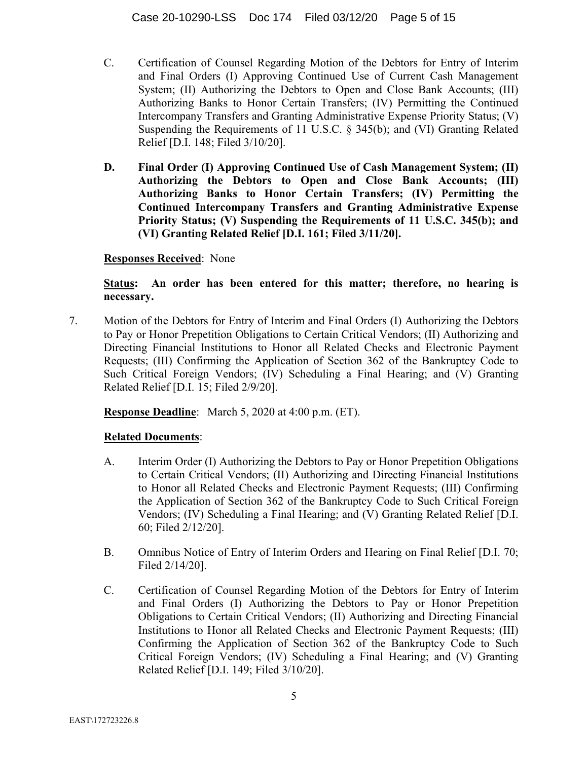- C. Certification of Counsel Regarding Motion of the Debtors for Entry of Interim and Final Orders (I) Approving Continued Use of Current Cash Management System; (II) Authorizing the Debtors to Open and Close Bank Accounts; (III) Authorizing Banks to Honor Certain Transfers; (IV) Permitting the Continued Intercompany Transfers and Granting Administrative Expense Priority Status; (V) Suspending the Requirements of 11 U.S.C. § 345(b); and (VI) Granting Related Relief [D.I. 148; Filed 3/10/20].
- **D. Final Order (I) Approving Continued Use of Cash Management System; (II) Authorizing the Debtors to Open and Close Bank Accounts; (III) Authorizing Banks to Honor Certain Transfers; (IV) Permitting the Continued Intercompany Transfers and Granting Administrative Expense Priority Status; (V) Suspending the Requirements of 11 U.S.C. 345(b); and (VI) Granting Related Relief [D.I. 161; Filed 3/11/20].**

## **Responses Received**: None

## **Status: An order has been entered for this matter; therefore, no hearing is necessary.**

7. Motion of the Debtors for Entry of Interim and Final Orders (I) Authorizing the Debtors to Pay or Honor Prepetition Obligations to Certain Critical Vendors; (II) Authorizing and Directing Financial Institutions to Honor all Related Checks and Electronic Payment Requests; (III) Confirming the Application of Section 362 of the Bankruptcy Code to Such Critical Foreign Vendors; (IV) Scheduling a Final Hearing; and (V) Granting Related Relief [D.I. 15; Filed 2/9/20].

## **Response Deadline**: March 5, 2020 at 4:00 p.m. (ET).

- A. Interim Order (I) Authorizing the Debtors to Pay or Honor Prepetition Obligations to Certain Critical Vendors; (II) Authorizing and Directing Financial Institutions to Honor all Related Checks and Electronic Payment Requests; (III) Confirming the Application of Section 362 of the Bankruptcy Code to Such Critical Foreign Vendors; (IV) Scheduling a Final Hearing; and (V) Granting Related Relief [D.I. 60; Filed 2/12/20].
- B. Omnibus Notice of Entry of Interim Orders and Hearing on Final Relief [D.I. 70; Filed 2/14/20].
- C. Certification of Counsel Regarding Motion of the Debtors for Entry of Interim and Final Orders (I) Authorizing the Debtors to Pay or Honor Prepetition Obligations to Certain Critical Vendors; (II) Authorizing and Directing Financial Institutions to Honor all Related Checks and Electronic Payment Requests; (III) Confirming the Application of Section 362 of the Bankruptcy Code to Such Critical Foreign Vendors; (IV) Scheduling a Final Hearing; and (V) Granting Related Relief [D.I. 149; Filed 3/10/20].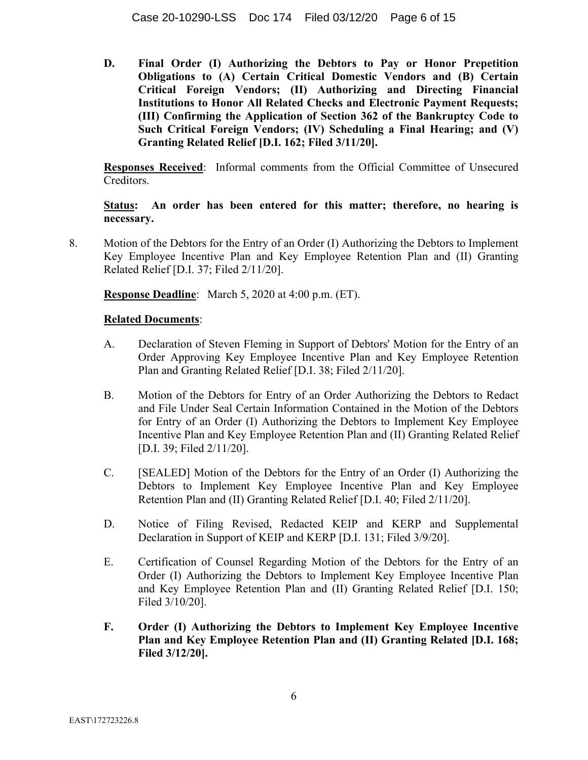**D. Final Order (I) Authorizing the Debtors to Pay or Honor Prepetition Obligations to (A) Certain Critical Domestic Vendors and (B) Certain Critical Foreign Vendors; (II) Authorizing and Directing Financial Institutions to Honor All Related Checks and Electronic Payment Requests; (III) Confirming the Application of Section 362 of the Bankruptcy Code to Such Critical Foreign Vendors; (IV) Scheduling a Final Hearing; and (V) Granting Related Relief [D.I. 162; Filed 3/11/20].** 

**Responses Received**: Informal comments from the Official Committee of Unsecured Creditors.

**Status: An order has been entered for this matter; therefore, no hearing is necessary.**

8. Motion of the Debtors for the Entry of an Order (I) Authorizing the Debtors to Implement Key Employee Incentive Plan and Key Employee Retention Plan and (II) Granting Related Relief [D.I. 37; Filed 2/11/20].

**Response Deadline**: March 5, 2020 at 4:00 p.m. (ET).

- A. Declaration of Steven Fleming in Support of Debtors' Motion for the Entry of an Order Approving Key Employee Incentive Plan and Key Employee Retention Plan and Granting Related Relief [D.I. 38; Filed 2/11/20].
- B. Motion of the Debtors for Entry of an Order Authorizing the Debtors to Redact and File Under Seal Certain Information Contained in the Motion of the Debtors for Entry of an Order (I) Authorizing the Debtors to Implement Key Employee Incentive Plan and Key Employee Retention Plan and (II) Granting Related Relief [D.I. 39; Filed 2/11/20].
- C. [SEALED] Motion of the Debtors for the Entry of an Order (I) Authorizing the Debtors to Implement Key Employee Incentive Plan and Key Employee Retention Plan and (II) Granting Related Relief [D.I. 40; Filed 2/11/20].
- D. Notice of Filing Revised, Redacted KEIP and KERP and Supplemental Declaration in Support of KEIP and KERP [D.I. 131; Filed 3/9/20].
- E. Certification of Counsel Regarding Motion of the Debtors for the Entry of an Order (I) Authorizing the Debtors to Implement Key Employee Incentive Plan and Key Employee Retention Plan and (II) Granting Related Relief [D.I. 150; Filed 3/10/20].
- **F. Order (I) Authorizing the Debtors to Implement Key Employee Incentive Plan and Key Employee Retention Plan and (II) Granting Related [D.I. 168; Filed 3/12/20].**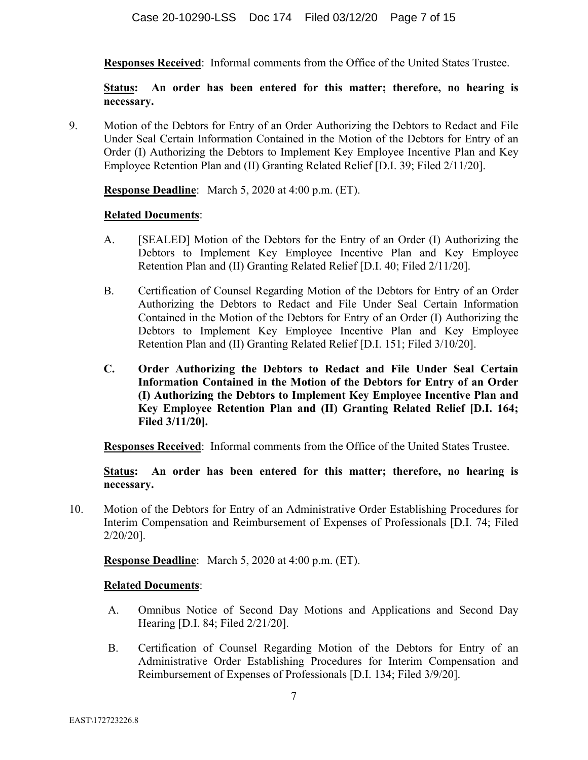**Responses Received**: Informal comments from the Office of the United States Trustee.

**Status: An order has been entered for this matter; therefore, no hearing is necessary.**

9. Motion of the Debtors for Entry of an Order Authorizing the Debtors to Redact and File Under Seal Certain Information Contained in the Motion of the Debtors for Entry of an Order (I) Authorizing the Debtors to Implement Key Employee Incentive Plan and Key Employee Retention Plan and (II) Granting Related Relief [D.I. 39; Filed 2/11/20].

**Response Deadline**: March 5, 2020 at 4:00 p.m. (ET).

### **Related Documents**:

- A. [SEALED] Motion of the Debtors for the Entry of an Order (I) Authorizing the Debtors to Implement Key Employee Incentive Plan and Key Employee Retention Plan and (II) Granting Related Relief [D.I. 40; Filed 2/11/20].
- B. Certification of Counsel Regarding Motion of the Debtors for Entry of an Order Authorizing the Debtors to Redact and File Under Seal Certain Information Contained in the Motion of the Debtors for Entry of an Order (I) Authorizing the Debtors to Implement Key Employee Incentive Plan and Key Employee Retention Plan and (II) Granting Related Relief [D.I. 151; Filed 3/10/20].
- **C. Order Authorizing the Debtors to Redact and File Under Seal Certain Information Contained in the Motion of the Debtors for Entry of an Order (I) Authorizing the Debtors to Implement Key Employee Incentive Plan and Key Employee Retention Plan and (II) Granting Related Relief [D.I. 164; Filed 3/11/20].**

**Responses Received**: Informal comments from the Office of the United States Trustee.

**Status: An order has been entered for this matter; therefore, no hearing is necessary.**

10. Motion of the Debtors for Entry of an Administrative Order Establishing Procedures for Interim Compensation and Reimbursement of Expenses of Professionals [D.I. 74; Filed 2/20/20].

**Response Deadline**: March 5, 2020 at 4:00 p.m. (ET).

- A. Omnibus Notice of Second Day Motions and Applications and Second Day Hearing [D.I. 84; Filed 2/21/20].
- B. Certification of Counsel Regarding Motion of the Debtors for Entry of an Administrative Order Establishing Procedures for Interim Compensation and Reimbursement of Expenses of Professionals [D.I. 134; Filed 3/9/20].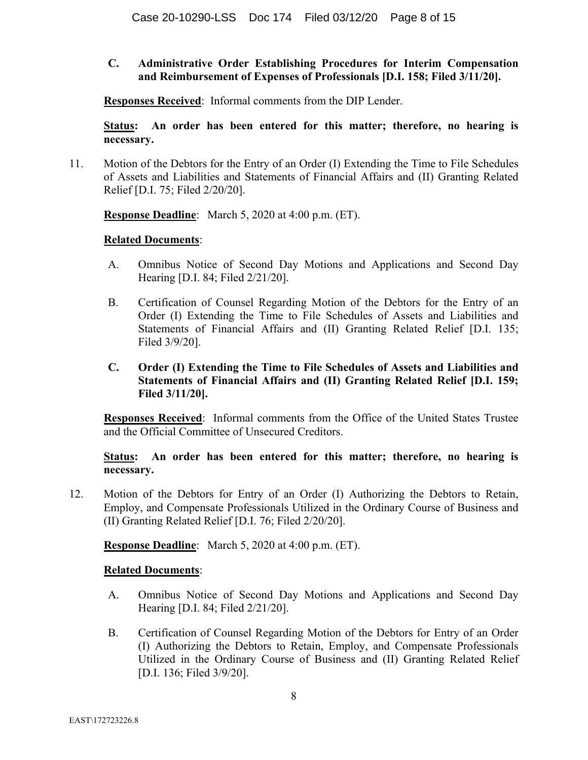## **C. Administrative Order Establishing Procedures for Interim Compensation and Reimbursement of Expenses of Professionals [D.I. 158; Filed 3/11/20].**

**Responses Received**: Informal comments from the DIP Lender.

**Status: An order has been entered for this matter; therefore, no hearing is necessary.**

11. Motion of the Debtors for the Entry of an Order (I) Extending the Time to File Schedules of Assets and Liabilities and Statements of Financial Affairs and (II) Granting Related Relief [D.I. 75; Filed 2/20/20].

**Response Deadline**: March 5, 2020 at 4:00 p.m. (ET).

#### **Related Documents**:

- A. Omnibus Notice of Second Day Motions and Applications and Second Day Hearing [D.I. 84; Filed 2/21/20].
- B. Certification of Counsel Regarding Motion of the Debtors for the Entry of an Order (I) Extending the Time to File Schedules of Assets and Liabilities and Statements of Financial Affairs and (II) Granting Related Relief [D.I. 135; Filed 3/9/20].
- **C. Order (I) Extending the Time to File Schedules of Assets and Liabilities and Statements of Financial Affairs and (II) Granting Related Relief [D.I. 159; Filed 3/11/20].**

**Responses Received**: Informal comments from the Office of the United States Trustee and the Official Committee of Unsecured Creditors.

**Status: An order has been entered for this matter; therefore, no hearing is necessary.**

12. Motion of the Debtors for Entry of an Order (I) Authorizing the Debtors to Retain, Employ, and Compensate Professionals Utilized in the Ordinary Course of Business and (II) Granting Related Relief [D.I. 76; Filed 2/20/20].

**Response Deadline**: March 5, 2020 at 4:00 p.m. (ET).

- A. Omnibus Notice of Second Day Motions and Applications and Second Day Hearing [D.I. 84; Filed 2/21/20].
- B. Certification of Counsel Regarding Motion of the Debtors for Entry of an Order (I) Authorizing the Debtors to Retain, Employ, and Compensate Professionals Utilized in the Ordinary Course of Business and (II) Granting Related Relief [D.I. 136; Filed 3/9/20].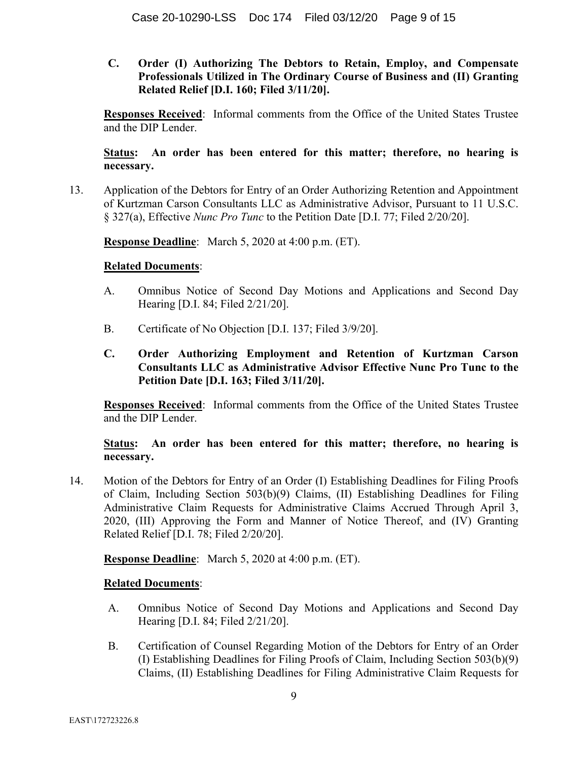**C. Order (I) Authorizing The Debtors to Retain, Employ, and Compensate Professionals Utilized in The Ordinary Course of Business and (II) Granting Related Relief [D.I. 160; Filed 3/11/20].** 

**Responses Received**: Informal comments from the Office of the United States Trustee and the DIP Lender.

## **Status: An order has been entered for this matter; therefore, no hearing is necessary.**

13. Application of the Debtors for Entry of an Order Authorizing Retention and Appointment of Kurtzman Carson Consultants LLC as Administrative Advisor, Pursuant to 11 U.S.C. § 327(a), Effective *Nunc Pro Tunc* to the Petition Date [D.I. 77; Filed 2/20/20].

**Response Deadline**: March 5, 2020 at 4:00 p.m. (ET).

### **Related Documents**:

- A. Omnibus Notice of Second Day Motions and Applications and Second Day Hearing [D.I. 84; Filed 2/21/20].
- B. Certificate of No Objection [D.I. 137; Filed 3/9/20].
- **C. Order Authorizing Employment and Retention of Kurtzman Carson Consultants LLC as Administrative Advisor Effective Nunc Pro Tunc to the Petition Date [D.I. 163; Filed 3/11/20].**

**Responses Received**: Informal comments from the Office of the United States Trustee and the DIP Lender.

## **Status: An order has been entered for this matter; therefore, no hearing is necessary.**

14. Motion of the Debtors for Entry of an Order (I) Establishing Deadlines for Filing Proofs of Claim, Including Section 503(b)(9) Claims, (II) Establishing Deadlines for Filing Administrative Claim Requests for Administrative Claims Accrued Through April 3, 2020, (III) Approving the Form and Manner of Notice Thereof, and (IV) Granting Related Relief [D.I. 78; Filed 2/20/20].

**Response Deadline**: March 5, 2020 at 4:00 p.m. (ET).

- A. Omnibus Notice of Second Day Motions and Applications and Second Day Hearing [D.I. 84; Filed 2/21/20].
- B. Certification of Counsel Regarding Motion of the Debtors for Entry of an Order (I) Establishing Deadlines for Filing Proofs of Claim, Including Section 503(b)(9) Claims, (II) Establishing Deadlines for Filing Administrative Claim Requests for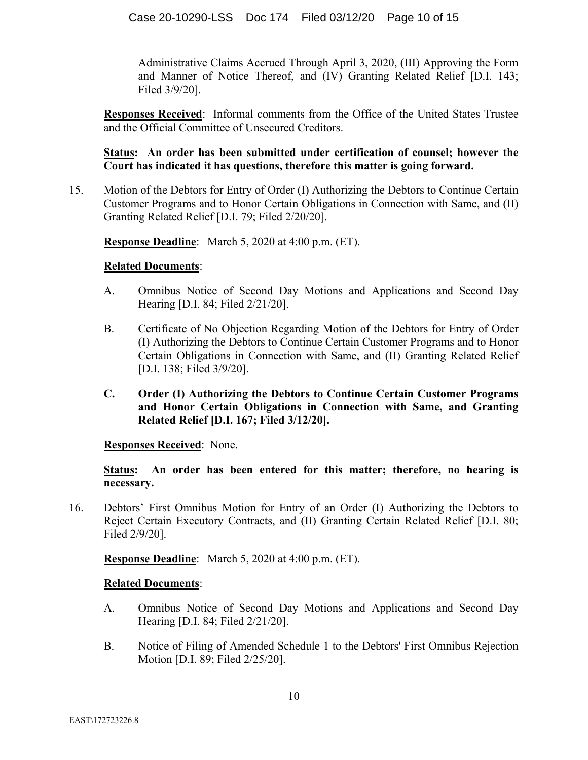Administrative Claims Accrued Through April 3, 2020, (III) Approving the Form and Manner of Notice Thereof, and (IV) Granting Related Relief [D.I. 143; Filed 3/9/20].

**Responses Received**: Informal comments from the Office of the United States Trustee and the Official Committee of Unsecured Creditors.

## **Status: An order has been submitted under certification of counsel; however the Court has indicated it has questions, therefore this matter is going forward.**

15. Motion of the Debtors for Entry of Order (I) Authorizing the Debtors to Continue Certain Customer Programs and to Honor Certain Obligations in Connection with Same, and (II) Granting Related Relief [D.I. 79; Filed 2/20/20].

**Response Deadline**: March 5, 2020 at 4:00 p.m. (ET).

### **Related Documents**:

- A. Omnibus Notice of Second Day Motions and Applications and Second Day Hearing [D.I. 84; Filed 2/21/20].
- B. Certificate of No Objection Regarding Motion of the Debtors for Entry of Order (I) Authorizing the Debtors to Continue Certain Customer Programs and to Honor Certain Obligations in Connection with Same, and (II) Granting Related Relief [D.I. 138; Filed 3/9/20].
- **C. Order (I) Authorizing the Debtors to Continue Certain Customer Programs and Honor Certain Obligations in Connection with Same, and Granting Related Relief [D.I. 167; Filed 3/12/20].**

**Responses Received**: None.

**Status: An order has been entered for this matter; therefore, no hearing is necessary.**

16. Debtors' First Omnibus Motion for Entry of an Order (I) Authorizing the Debtors to Reject Certain Executory Contracts, and (II) Granting Certain Related Relief [D.I. 80; Filed 2/9/20].

**Response Deadline**: March 5, 2020 at 4:00 p.m. (ET).

- A. Omnibus Notice of Second Day Motions and Applications and Second Day Hearing [D.I. 84; Filed 2/21/20].
- B. Notice of Filing of Amended Schedule 1 to the Debtors' First Omnibus Rejection Motion [D.I. 89; Filed 2/25/20].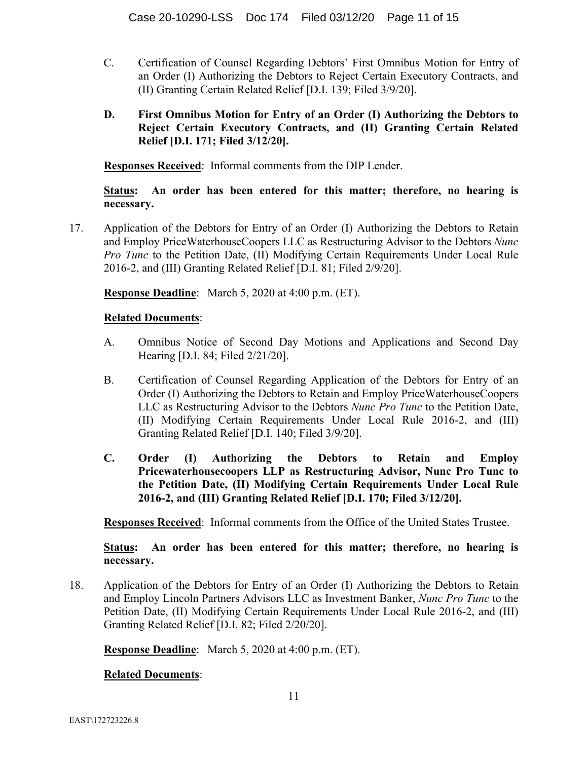- C. Certification of Counsel Regarding Debtors' First Omnibus Motion for Entry of an Order (I) Authorizing the Debtors to Reject Certain Executory Contracts, and (II) Granting Certain Related Relief [D.I. 139; Filed 3/9/20].
- **D. First Omnibus Motion for Entry of an Order (I) Authorizing the Debtors to Reject Certain Executory Contracts, and (II) Granting Certain Related Relief [D.I. 171; Filed 3/12/20].**

**Responses Received**: Informal comments from the DIP Lender.

**Status: An order has been entered for this matter; therefore, no hearing is necessary.**

17. Application of the Debtors for Entry of an Order (I) Authorizing the Debtors to Retain and Employ PriceWaterhouseCoopers LLC as Restructuring Advisor to the Debtors *Nunc Pro Tunc* to the Petition Date, (II) Modifying Certain Requirements Under Local Rule 2016-2, and (III) Granting Related Relief [D.I. 81; Filed 2/9/20].

**Response Deadline**: March 5, 2020 at 4:00 p.m. (ET).

## **Related Documents**:

- A. Omnibus Notice of Second Day Motions and Applications and Second Day Hearing [D.I. 84; Filed 2/21/20].
- B. Certification of Counsel Regarding Application of the Debtors for Entry of an Order (I) Authorizing the Debtors to Retain and Employ PriceWaterhouseCoopers LLC as Restructuring Advisor to the Debtors *Nunc Pro Tunc* to the Petition Date, (II) Modifying Certain Requirements Under Local Rule 2016-2, and (III) Granting Related Relief [D.I. 140; Filed 3/9/20].
- **C. Order (I) Authorizing the Debtors to Retain and Employ Pricewaterhousecoopers LLP as Restructuring Advisor, Nunc Pro Tunc to the Petition Date, (II) Modifying Certain Requirements Under Local Rule 2016-2, and (III) Granting Related Relief [D.I. 170; Filed 3/12/20].**

**Responses Received**: Informal comments from the Office of the United States Trustee.

## **Status: An order has been entered for this matter; therefore, no hearing is necessary.**

18. Application of the Debtors for Entry of an Order (I) Authorizing the Debtors to Retain and Employ Lincoln Partners Advisors LLC as Investment Banker, *Nunc Pro Tunc* to the Petition Date, (II) Modifying Certain Requirements Under Local Rule 2016-2, and (III) Granting Related Relief [D.I. 82; Filed 2/20/20].

**Response Deadline**: March 5, 2020 at 4:00 p.m. (ET).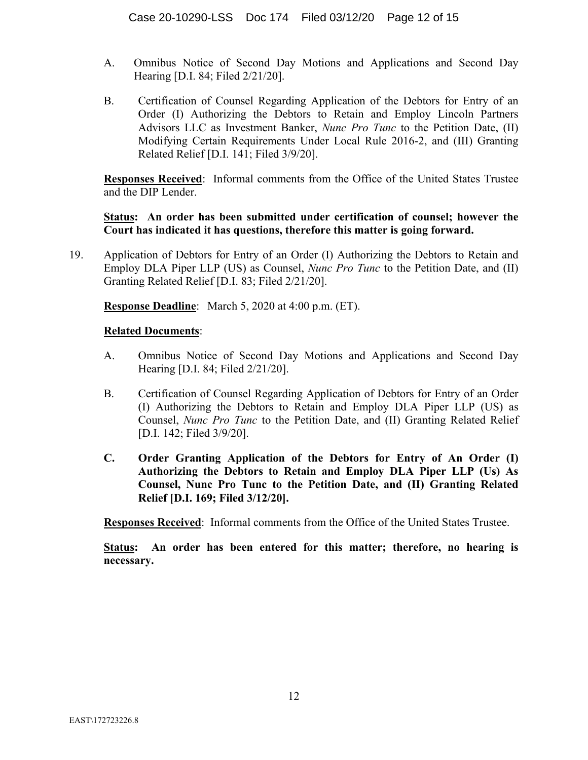- A. Omnibus Notice of Second Day Motions and Applications and Second Day Hearing [D.I. 84; Filed 2/21/20].
- B. Certification of Counsel Regarding Application of the Debtors for Entry of an Order (I) Authorizing the Debtors to Retain and Employ Lincoln Partners Advisors LLC as Investment Banker, *Nunc Pro Tunc* to the Petition Date, (II) Modifying Certain Requirements Under Local Rule 2016-2, and (III) Granting Related Relief [D.I. 141; Filed 3/9/20].

**Responses Received**: Informal comments from the Office of the United States Trustee and the DIP Lender.

**Status: An order has been submitted under certification of counsel; however the Court has indicated it has questions, therefore this matter is going forward.**

19. Application of Debtors for Entry of an Order (I) Authorizing the Debtors to Retain and Employ DLA Piper LLP (US) as Counsel, *Nunc Pro Tunc* to the Petition Date, and (II) Granting Related Relief [D.I. 83; Filed 2/21/20].

**Response Deadline**: March 5, 2020 at 4:00 p.m. (ET).

### **Related Documents**:

- A. Omnibus Notice of Second Day Motions and Applications and Second Day Hearing [D.I. 84; Filed 2/21/20].
- B. Certification of Counsel Regarding Application of Debtors for Entry of an Order (I) Authorizing the Debtors to Retain and Employ DLA Piper LLP (US) as Counsel, *Nunc Pro Tunc* to the Petition Date, and (II) Granting Related Relief [D.I. 142; Filed 3/9/20].
- **C. Order Granting Application of the Debtors for Entry of An Order (I) Authorizing the Debtors to Retain and Employ DLA Piper LLP (Us) As Counsel, Nunc Pro Tunc to the Petition Date, and (II) Granting Related Relief [D.I. 169; Filed 3/12/20].**

**Responses Received**: Informal comments from the Office of the United States Trustee.

**Status: An order has been entered for this matter; therefore, no hearing is necessary.**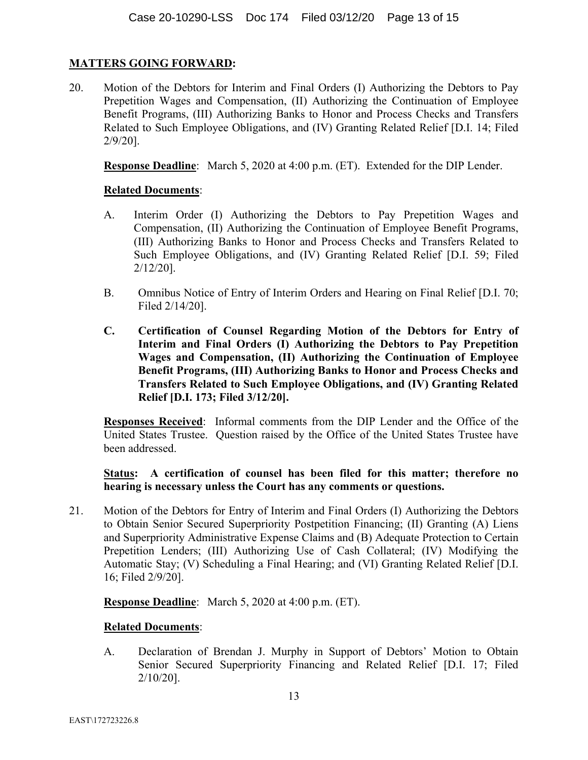# **MATTERS GOING FORWARD:**

20. Motion of the Debtors for Interim and Final Orders (I) Authorizing the Debtors to Pay Prepetition Wages and Compensation, (II) Authorizing the Continuation of Employee Benefit Programs, (III) Authorizing Banks to Honor and Process Checks and Transfers Related to Such Employee Obligations, and (IV) Granting Related Relief [D.I. 14; Filed 2/9/20].

**Response Deadline**: March 5, 2020 at 4:00 p.m. (ET). Extended for the DIP Lender.

### **Related Documents**:

- A. Interim Order (I) Authorizing the Debtors to Pay Prepetition Wages and Compensation, (II) Authorizing the Continuation of Employee Benefit Programs, (III) Authorizing Banks to Honor and Process Checks and Transfers Related to Such Employee Obligations, and (IV) Granting Related Relief [D.I. 59; Filed 2/12/20].
- B. Omnibus Notice of Entry of Interim Orders and Hearing on Final Relief [D.I. 70; Filed 2/14/20].
- **C. Certification of Counsel Regarding Motion of the Debtors for Entry of Interim and Final Orders (I) Authorizing the Debtors to Pay Prepetition Wages and Compensation, (II) Authorizing the Continuation of Employee Benefit Programs, (III) Authorizing Banks to Honor and Process Checks and Transfers Related to Such Employee Obligations, and (IV) Granting Related Relief [D.I. 173; Filed 3/12/20].**

**Responses Received**: Informal comments from the DIP Lender and the Office of the United States Trustee. Question raised by the Office of the United States Trustee have been addressed.

**Status: A certification of counsel has been filed for this matter; therefore no hearing is necessary unless the Court has any comments or questions.**

21. Motion of the Debtors for Entry of Interim and Final Orders (I) Authorizing the Debtors to Obtain Senior Secured Superpriority Postpetition Financing; (II) Granting (A) Liens and Superpriority Administrative Expense Claims and (B) Adequate Protection to Certain Prepetition Lenders; (III) Authorizing Use of Cash Collateral; (IV) Modifying the Automatic Stay; (V) Scheduling a Final Hearing; and (VI) Granting Related Relief [D.I. 16; Filed 2/9/20].

**Response Deadline**: March 5, 2020 at 4:00 p.m. (ET).

### **Related Documents**:

A. Declaration of Brendan J. Murphy in Support of Debtors' Motion to Obtain Senior Secured Superpriority Financing and Related Relief [D.I. 17; Filed 2/10/20].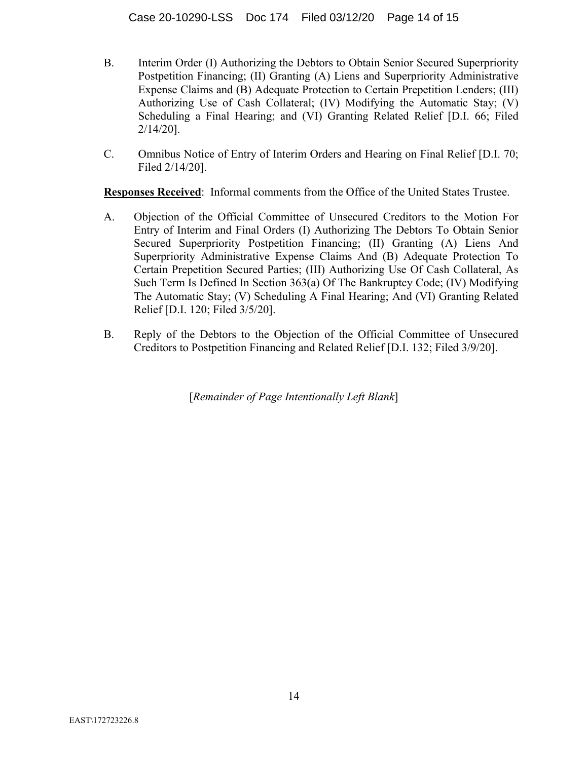- B. Interim Order (I) Authorizing the Debtors to Obtain Senior Secured Superpriority Postpetition Financing; (II) Granting (A) Liens and Superpriority Administrative Expense Claims and (B) Adequate Protection to Certain Prepetition Lenders; (III) Authorizing Use of Cash Collateral; (IV) Modifying the Automatic Stay; (V) Scheduling a Final Hearing; and (VI) Granting Related Relief [D.I. 66; Filed 2/14/20].
- C. Omnibus Notice of Entry of Interim Orders and Hearing on Final Relief [D.I. 70; Filed 2/14/20].

**Responses Received**: Informal comments from the Office of the United States Trustee.

- A. Objection of the Official Committee of Unsecured Creditors to the Motion For Entry of Interim and Final Orders (I) Authorizing The Debtors To Obtain Senior Secured Superpriority Postpetition Financing; (II) Granting (A) Liens And Superpriority Administrative Expense Claims And (B) Adequate Protection To Certain Prepetition Secured Parties; (III) Authorizing Use Of Cash Collateral, As Such Term Is Defined In Section 363(a) Of The Bankruptcy Code; (IV) Modifying The Automatic Stay; (V) Scheduling A Final Hearing; And (VI) Granting Related Relief [D.I. 120; Filed 3/5/20].
- B. Reply of the Debtors to the Objection of the Official Committee of Unsecured Creditors to Postpetition Financing and Related Relief [D.I. 132; Filed 3/9/20].

[*Remainder of Page Intentionally Left Blank*]